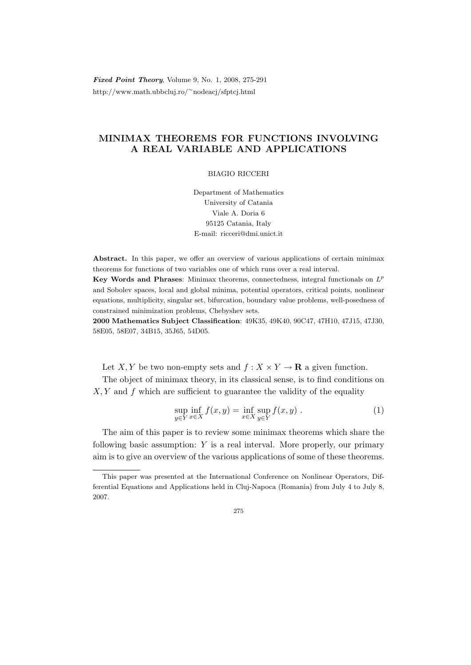Fixed Point Theory, Volume 9, No. 1, 2008, 275-291 http://www.math.ubbcluj.ro/<sup>∼</sup>nodeacj/sfptcj.html

# MINIMAX THEOREMS FOR FUNCTIONS INVOLVING A REAL VARIABLE AND APPLICATIONS

# BIAGIO RICCERI

Department of Mathematics University of Catania Viale A. Doria 6 95125 Catania, Italy E-mail: ricceri@dmi.unict.it

Abstract. In this paper, we offer an overview of various applications of certain minimax theorems for functions of two variables one of which runs over a real interval.

Key Words and Phrases: Minimax theorems, connectedness, integral functionals on  $L^p$ and Sobolev spaces, local and global minima, potential operators, critical points, nonlinear equations, multiplicity, singular set, bifurcation, boundary value problems, well-posedness of constrained minimization problems, Chebyshev sets.

2000 Mathematics Subject Classification: 49K35, 49K40, 90C47, 47H10, 47J15, 47J30, 58E05, 58E07, 34B15, 35J65, 54D05.

Let X, Y be two non-empty sets and  $f: X \times Y \to \mathbf{R}$  a given function.

The object of minimax theory, in its classical sense, is to find conditions on  $X, Y$  and f which are sufficient to guarantee the validity of the equality

$$
\sup_{y \in Y} \inf_{x \in X} f(x, y) = \inf_{x \in X} \sup_{y \in Y} f(x, y) . \tag{1}
$$

The aim of this paper is to review some minimax theorems which share the following basic assumption: Y is a real interval. More properly, our primary aim is to give an overview of the various applications of some of these theorems.

275

This paper was presented at the International Conference on Nonlinear Operators, Differential Equations and Applications held in Cluj-Napoca (Romania) from July 4 to July 8, 2007.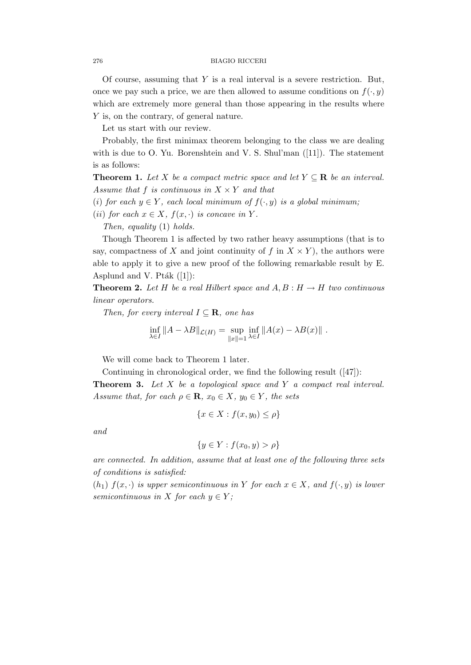Of course, assuming that  $Y$  is a real interval is a severe restriction. But, once we pay such a price, we are then allowed to assume conditions on  $f(\cdot, y)$ which are extremely more general than those appearing in the results where Y is, on the contrary, of general nature.

Let us start with our review.

Probably, the first minimax theorem belonging to the class we are dealing with is due to O. Yu. Borenshtein and V. S. Shul'man ([11]). The statement is as follows:

**Theorem 1.** Let X be a compact metric space and let  $Y \subseteq \mathbb{R}$  be an interval. Assume that f is continuous in  $X \times Y$  and that

- (i) for each  $y \in Y$ , each local minimum of  $f(\cdot, y)$  is a global minimum;
- (ii) for each  $x \in X$ ,  $f(x, \cdot)$  is concave in Y.

Then, equality (1) holds.

Though Theorem 1 is affected by two rather heavy assumptions (that is to say, compactness of X and joint continuity of f in  $X \times Y$ , the authors were able to apply it to give a new proof of the following remarkable result by E. Asplund and V. Pt $ak$  ([1]):

**Theorem 2.** Let H be a real Hilbert space and  $A, B : H \to H$  two continuous linear operators.

Then, for every interval  $I \subseteq \mathbf{R}$ , one has

$$
\inf_{\lambda \in I} ||A - \lambda B||_{\mathcal{L}(H)} = \sup_{||x||=1} \inf_{\lambda \in I} ||A(x) - \lambda B(x)||.
$$

We will come back to Theorem 1 later.

Continuing in chronological order, we find the following result ([47]):

**Theorem 3.** Let  $X$  be a topological space and  $Y$  a compact real interval. Assume that, for each  $\rho \in \mathbf{R}$ ,  $x_0 \in X$ ,  $y_0 \in Y$ , the sets

$$
\{x \in X : f(x, y_0) \le \rho\}
$$

and

$$
\{y \in Y : f(x_0, y) > \rho\}
$$

are connected. In addition, assume that at least one of the following three sets of conditions is satisfied:

 $(h_1)$   $f(x, \cdot)$  is upper semicontinuous in Y for each  $x \in X$ , and  $f(\cdot, y)$  is lower semicontinuous in X for each  $y \in Y$ ;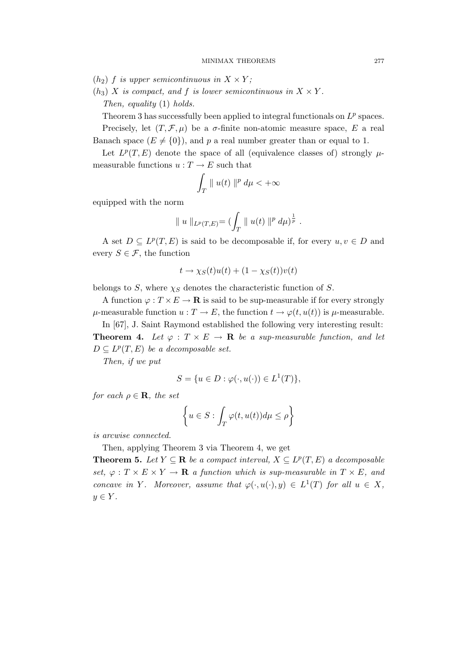- $(h_2)$  f is upper semicontinuous in  $X \times Y$ ;
- $(h_3)$  X is compact, and f is lower semicontinuous in  $X \times Y$ . Then, equality (1) holds.

Theorem 3 has successfully been applied to integral functionals on  $L^p$  spaces. Precisely, let  $(T, \mathcal{F}, \mu)$  be a  $\sigma$ -finite non-atomic measure space, E a real Banach space  $(E \neq \{0\})$ , and p a real number greater than or equal to 1.

Let  $L^p(T, E)$  denote the space of all (equivalence classes of) strongly  $\mu$ measurable functions  $u: T \to E$  such that

$$
\int_T \parallel u(t) \parallel^p d\mu < +\infty
$$

equipped with the norm

$$
\| u \|_{L^p(T,E)} = (\int_T \| u(t) \|^{p} d\mu)^{\frac{1}{p}}.
$$

A set  $D \subseteq L^p(T, E)$  is said to be decomposable if, for every  $u, v \in D$  and every  $S \in \mathcal{F}$ , the function

$$
t \to \chi_S(t)u(t) + (1 - \chi_S(t))v(t)
$$

belongs to S, where  $\chi_S$  denotes the characteristic function of S.

A function  $\varphi: T \times E \to \mathbf{R}$  is said to be sup-measurable if for every strongly  $\mu$ -measurable function  $u : T \to E$ , the function  $t \to \varphi(t, u(t))$  is  $\mu$ -measurable.

In [67], J. Saint Raymond established the following very interesting result: **Theorem 4.** Let  $\varphi : T \times E \to \mathbf{R}$  be a sup-measurable function, and let  $D \subseteq L^p(T, E)$  be a decomposable set.

Then, if we put

$$
S = \{ u \in D : \varphi(\cdot, u(\cdot)) \in L^1(T) \},
$$

for each  $\rho \in \mathbf{R}$ , the set

$$
\left\{ u \in S : \int_T \varphi(t, u(t)) d\mu \le \rho \right\}
$$

is arcwise connected.

Then, applying Theorem 3 via Theorem 4, we get

**Theorem 5.** Let  $Y \subseteq \mathbb{R}$  be a compact interval,  $X \subseteq L^p(T, E)$  a decomposable set,  $\varphi: T \times E \times Y \to \mathbf{R}$  a function which is sup-measurable in  $T \times E$ , and concave in Y. Moreover, assume that  $\varphi(\cdot, u(\cdot), y) \in L^1(T)$  for all  $u \in X$ ,  $y \in Y$ .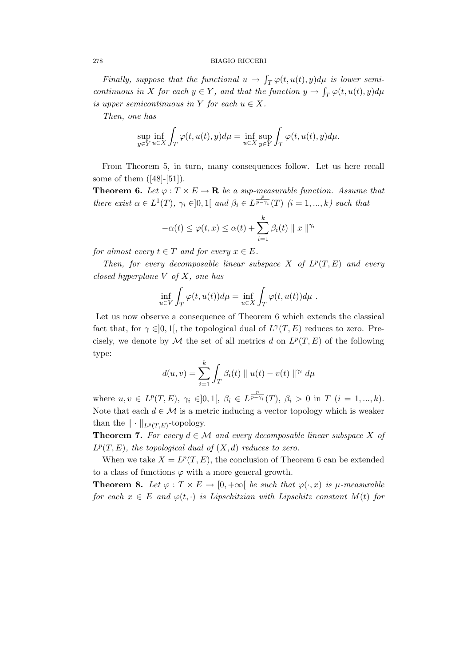Finally, suppose that the functional  $u \to \int_T \varphi(t, u(t), y) d\mu$  is lower semicontinuous in X for each  $y \in Y$ , and that the function  $y \to \int_T \varphi(t, u(t), y) d\mu$ is upper semicontinuous in Y for each  $u \in X$ .

Then, one has

$$
\sup_{y \in Y} \inf_{u \in X} \int_T \varphi(t, u(t), y) d\mu = \inf_{u \in X} \sup_{y \in Y} \int_T \varphi(t, u(t), y) d\mu.
$$

From Theorem 5, in turn, many consequences follow. Let us here recall some of them ([48]-[51]).

**Theorem 6.** Let  $\varphi: T \times E \to \mathbf{R}$  be a sup-measurable function. Assume that there exist  $\alpha \in L^1(T)$ ,  $\gamma_i \in ]0,1[$  and  $\beta_i \in L^{\frac{p}{p-\gamma_i}}(T)$   $(i = 1,...,k)$  such that

$$
-\alpha(t) \leq \varphi(t, x) \leq \alpha(t) + \sum_{i=1}^{k} \beta_i(t) \| x \|^{ \gamma_i}
$$

for almost every  $t \in T$  and for every  $x \in E$ .

Then, for every decomposable linear subspace X of  $L^p(T, E)$  and every closed hyperplane  $V$  of  $X$ , one has

$$
\inf_{u \in V} \int_T \varphi(t, u(t)) d\mu = \inf_{u \in X} \int_T \varphi(t, u(t)) d\mu.
$$

Let us now observe a consequence of Theorem 6 which extends the classical fact that, for  $\gamma \in ]0,1[$ , the topological dual of  $L^{\gamma}(T, E)$  reduces to zero. Precisely, we denote by  $\mathcal M$  the set of all metrics d on  $L^p(T, E)$  of the following type:

$$
d(u, v) = \sum_{i=1}^{k} \int_{T} \beta_i(t) \parallel u(t) - v(t) \parallel^{\gamma_i} d\mu
$$

where  $u, v \in L^p(T, E), \gamma_i \in ]0,1[, \beta_i \in L^{\frac{p}{p-\gamma_i}}(T), \beta_i > 0 \text{ in } T \ (i = 1, ..., k).$ Note that each  $d \in \mathcal{M}$  is a metric inducing a vector topology which is weaker than the  $\|\cdot\|_{L^p(T,E)}$ -topology.

**Theorem 7.** For every  $d \in \mathcal{M}$  and every decomposable linear subspace X of  $L^p(T, E)$ , the topological dual of  $(X, d)$  reduces to zero.

When we take  $X = L^p(T, E)$ , the conclusion of Theorem 6 can be extended to a class of functions  $\varphi$  with a more general growth.

**Theorem 8.** Let  $\varphi : T \times E \to [0, +\infty[$  be such that  $\varphi(\cdot, x)$  is  $\mu$ -measurable for each  $x \in E$  and  $\varphi(t, \cdot)$  is Lipschitzian with Lipschitz constant  $M(t)$  for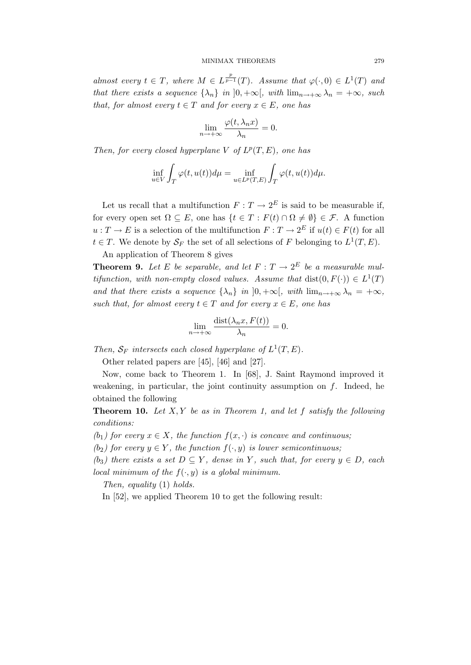almost every  $t \in T$ , where  $M \in L^{\frac{p}{p-1}}(T)$ . Assume that  $\varphi(\cdot,0) \in L^1(T)$  and that there exists a sequence  $\{\lambda_n\}$  in  $[0, +\infty]$ , with  $\lim_{n\to+\infty}\lambda_n = +\infty$ , such that, for almost every  $t \in T$  and for every  $x \in E$ , one has

$$
\lim_{n \to +\infty} \frac{\varphi(t, \lambda_n x)}{\lambda_n} = 0.
$$

Then, for every closed hyperplane V of  $L^p(T, E)$ , one has

$$
\inf_{u \in V} \int_T \varphi(t, u(t)) d\mu = \inf_{u \in L^p(T, E)} \int_T \varphi(t, u(t)) d\mu.
$$

Let us recall that a multifunction  $F: T \to 2^E$  is said to be measurable if, for every open set  $\Omega \subseteq E$ , one has  $\{t \in T : F(t) \cap \Omega \neq \emptyset\} \in \mathcal{F}$ . A function  $u: T \to E$  is a selection of the multifunction  $F: T \to 2^E$  if  $u(t) \in F(t)$  for all  $t \in T$ . We denote by  $\mathcal{S}_F$  the set of all selections of F belonging to  $L^1(T, E)$ .

An application of Theorem 8 gives

**Theorem 9.** Let E be separable, and let  $F: T \to 2^E$  be a measurable multifunction, with non-empty closed values. Assume that  $dist(0, F(\cdot)) \in L^1(T)$ and that there exists a sequence  $\{\lambda_n\}$  in  $[0, +\infty]$ , with  $\lim_{n\to+\infty}\lambda_n = +\infty$ , such that, for almost every  $t \in T$  and for every  $x \in E$ , one has

$$
\lim_{n \to +\infty} \frac{\text{dist}(\lambda_n x, F(t))}{\lambda_n} = 0.
$$

Then,  $S_F$  intersects each closed hyperplane of  $L^1(T, E)$ .

Other related papers are [45], [46] and [27].

Now, come back to Theorem 1. In [68], J. Saint Raymond improved it weakening, in particular, the joint continuity assumption on  $f$ . Indeed, he obtained the following

**Theorem 10.** Let  $X, Y$  be as in Theorem 1, and let  $f$  satisfy the following conditions:

(b<sub>1</sub>) for every  $x \in X$ , the function  $f(x, \cdot)$  is concave and continuous;

(b<sub>2</sub>) for every  $y \in Y$ , the function  $f(\cdot, y)$  is lower semicontinuous;

(b<sub>3</sub>) there exists a set  $D \subseteq Y$ , dense in Y, such that, for every  $y \in D$ , each local minimum of the  $f(\cdot, y)$  is a global minimum.

Then, equality (1) holds.

In [52], we applied Theorem 10 to get the following result: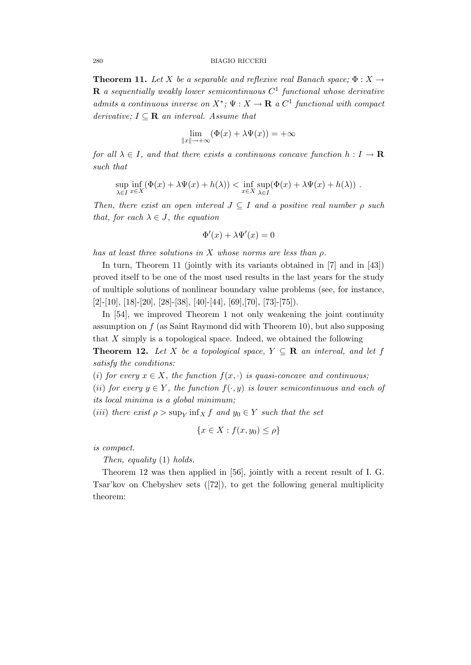**Theorem 11.** Let X be a separable and reflexive real Banach space;  $\Phi: X \to Y$ **R** a sequentially weakly lower semicontinuous  $C^1$  functional whose derivative admits a continuous inverse on  $X^*$ ;  $\Psi : X \to \mathbf{R}$  a  $C^1$  functional with compact derivative;  $I \subseteq \mathbf{R}$  an interval. Assume that

$$
\lim_{\|x\| \to +\infty} (\Phi(x) + \lambda \Psi(x)) = +\infty
$$

for all  $\lambda \in I$ , and that there exists a continuous concave function  $h: I \to \mathbf{R}$ such that

$$
\sup_{\lambda \in I} \inf_{x \in X} (\Phi(x) + \lambda \Psi(x) + h(\lambda)) < \inf_{x \in X} \sup_{\lambda \in I} (\Phi(x) + \lambda \Psi(x) + h(\lambda)) .
$$

Then, there exist an open interval  $J \subseteq I$  and a positive real number  $\rho$  such that, for each  $\lambda \in J$ , the equation

$$
\Phi'(x) + \lambda \Psi'(x) = 0
$$

has at least three solutions in X whose norms are less than  $\rho$ .

In turn, Theorem 11 (jointly with its variants obtained in [7] and in [43]) proved itself to be one of the most used results in the last years for the study of multiple solutions of nonlinear boundary value problems (see, for instance,  $[2]-[10], [18]-[20], [28]-[38], [40]-[44], [69], [70], [73]-[75]).$ 

In [54], we improved Theorem 1 not only weakening the joint continuity assumption on  $f$  (as Saint Raymond did with Theorem 10), but also supposing that X simply is a topological space. Indeed, we obtained the following

**Theorem 12.** Let X be a topological space,  $Y \subseteq \mathbb{R}$  an interval, and let f satisfy the conditions:

(i) for every  $x \in X$ , the function  $f(x, \cdot)$  is quasi-concave and continuous;

(ii) for every  $y \in Y$ , the function  $f(\cdot, y)$  is lower semicontinuous and each of its local minima is a global minimum;

(iii) there exist  $\rho > \sup_Y \inf_X f$  and  $y_0 \in Y$  such that the set

$$
\{x \in X : f(x, y_0) \le \rho\}
$$

is compact.

Then, equality (1) holds.

Theorem 12 was then applied in [56], jointly with a recent result of I. G. Tsar'kov on Chebyshev sets ([72]), to get the following general multiplicity theorem: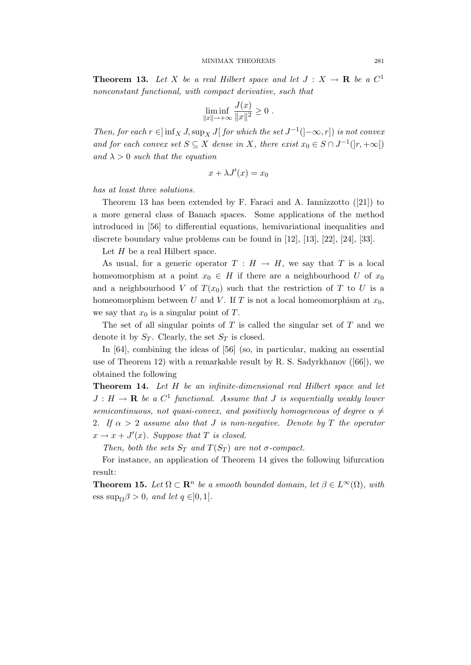**Theorem 13.** Let X be a real Hilbert space and let  $J: X \to \mathbf{R}$  be a  $C^1$ nonconstant functional, with compact derivative, such that

$$
\liminf_{\|x\| \to +\infty} \frac{J(x)}{\|x\|^2} \ge 0.
$$

Then, for each  $r \in ]\inf_X J$ ,  $\sup_X J[$  for which the set  $J^{-1}([- \infty, r])$  is not convex and for each convex set  $S \subseteq X$  dense in X, there exist  $x_0 \in S \cap J^{-1}([r, +\infty[)$ and  $\lambda > 0$  such that the equation

$$
x + \lambda J'(x) = x_0
$$

has at least three solutions.

Theorem 13 has been extended by F. Faraci and A. Iannizzotto ([21]) to a more general class of Banach spaces. Some applications of the method introduced in [56] to differential equations, hemivariational inequalities and discrete boundary value problems can be found in [12], [13], [22], [24], [33].

Let  $H$  be a real Hilbert space.

As usual, for a generic operator  $T : H \to H$ , we say that T is a local homeomorphism at a point  $x_0 \in H$  if there are a neighbourhood U of  $x_0$ and a neighbourhood V of  $T(x_0)$  such that the restriction of T to U is a homeomorphism between U and V. If T is not a local homeomorphism at  $x_0$ , we say that  $x_0$  is a singular point of T.

The set of all singular points of  $T$  is called the singular set of  $T$  and we denote it by  $S_T$ . Clearly, the set  $S_T$  is closed.

In [64], combining the ideas of [56] (so, in particular, making an essential use of Theorem 12) with a remarkable result by R. S. Sadyrkhanov ([66]), we obtained the following

Theorem 14. Let H be an infinite-dimensional real Hilbert space and let  $J: H \to \mathbf{R}$  be a  $C^1$  functional. Assume that J is sequentially weakly lower semicontinuous, not quasi-convex, and positively homogeneous of degree  $\alpha \neq$ 2. If  $\alpha > 2$  assume also that J is non-negative. Denote by T the operator  $x \to x + J'(x)$ . Suppose that T is closed.

Then, both the sets  $S_T$  and  $T(S_T)$  are not  $\sigma$ -compact.

For instance, an application of Theorem 14 gives the following bifurcation result:

**Theorem 15.** Let  $\Omega \subset \mathbb{R}^n$  be a smooth bounded domain, let  $\beta \in L^{\infty}(\Omega)$ , with ess sup $_0\beta > 0$ , and let  $q \in ]0,1[$ .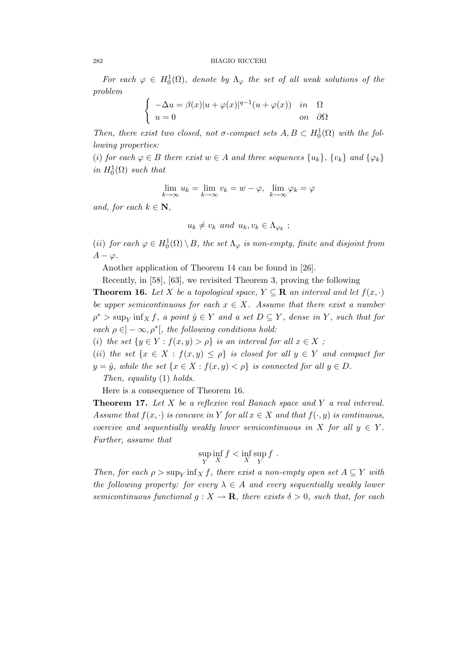For each  $\varphi \in H_0^1(\Omega)$ , denote by  $\Lambda_{\varphi}$  the set of all weak solutions of the problem

$$
\begin{cases}\n-\Delta u = \beta(x)|u + \varphi(x)|^{q-1}(u + \varphi(x)) & \text{in} \quad \Omega \\
u = 0 & \text{on} \quad \partial\Omega\n\end{cases}
$$

Then, there exist two closed, not  $\sigma$ -compact sets  $A, B \subset H_0^1(\Omega)$  with the following properties:

(i) for each  $\varphi \in B$  there exist  $w \in A$  and three sequences  $\{u_k\}, \{v_k\}$  and  $\{\varphi_k\}$ in  $H_0^1(\Omega)$  such that

$$
\lim_{k \to \infty} u_k = \lim_{k \to \infty} v_k = w - \varphi, \ \lim_{k \to \infty} \varphi_k = \varphi
$$

and, for each  $k \in \mathbb{N}$ ,

$$
u_k \neq v_k \text{ and } u_k, v_k \in \Lambda_{\varphi_k} ;
$$

(ii) for each  $\varphi \in H_0^1(\Omega) \setminus B$ , the set  $\Lambda_{\varphi}$  is non-empty, finite and disjoint from  $A - \varphi$ .

Another application of Theorem 14 can be found in [26].

Recently, in [58], [63], we revisited Theorem 3, proving the following

**Theorem 16.** Let X be a topological space,  $Y \subseteq \mathbb{R}$  an interval and let  $f(x, \cdot)$ be upper semicontinuous for each  $x \in X$ . Assume that there exist a number  $\rho^*$  > sup<sub>Y</sub> inf<sub>X</sub> f, a point  $\hat{y} \in Y$  and a set  $D \subseteq Y$ , dense in Y, such that for each  $\rho \in ]-\infty, \rho^*[$ , the following conditions hold:

(i) the set  $\{y \in Y : f(x, y) > \rho\}$  is an interval for all  $x \in X$ ;

(ii) the set  $\{x \in X : f(x,y) \leq \rho\}$  is closed for all  $y \in Y$  and compact for  $y = \hat{y}$ , while the set  $\{x \in X : f(x, y) < \rho\}$  is connected for all  $y \in D$ .

Then, equality (1) holds.

Here is a consequence of Theorem 16.

**Theorem 17.** Let  $X$  be a reflexive real Banach space and  $Y$  a real interval. Assume that  $f(x, \cdot)$  is concave in Y for all  $x \in X$  and that  $f(\cdot, y)$  is continuous, coercive and sequentially weakly lower semicontinuous in X for all  $y \in Y$ . Further, assume that

$$
\sup_Y \inf_X f < \inf_X \sup_Y f \, .
$$

Then, for each  $\rho > \sup_Y \inf_X f$ , there exist a non-empty open set  $A \subseteq Y$  with the following property: for every  $\lambda \in A$  and every sequentially weakly lower semicontinuous functional  $g: X \to \mathbf{R}$ , there exists  $\delta > 0$ , such that, for each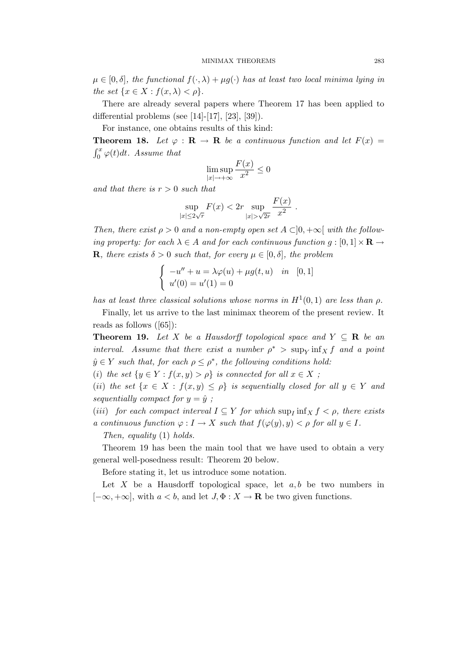$\mu \in [0, \delta],$  the functional  $f(\cdot, \lambda) + \mu g(\cdot)$  has at least two local minima lying in the set  $\{x \in X : f(x, \lambda) < \rho\}.$ 

There are already several papers where Theorem 17 has been applied to differential problems (see [14]-[17], [23], [39]).

For instance, one obtains results of this kind:

**Theorem 18.** Let  $\varphi : \mathbf{R} \to \mathbf{R}$  be a continuous function and let  $F(x) =$  $\int_0^x \varphi(t) dt$ . Assume that

$$
\limsup_{|x| \to +\infty} \frac{F(x)}{x^2} \le 0
$$

and that there is  $r > 0$  such that

$$
\sup_{|x| \le 2\sqrt{r}} F(x) < 2r \sup_{|x| > \sqrt{2r}} \frac{F(x)}{x^2} \, .
$$

Then, there exist  $\rho > 0$  and a non-empty open set  $A \subset ]0, +\infty[$  with the following property: for each  $\lambda \in A$  and for each continuous function  $g : [0,1] \times \mathbf{R} \rightarrow$ **R**, there exists  $\delta > 0$  such that, for every  $\mu \in [0, \delta]$ , the problem

$$
\begin{cases}\n-u'' + u = \lambda \varphi(u) + \mu g(t, u) & \text{in} \quad [0, 1] \\
u'(0) = u'(1) = 0\n\end{cases}
$$

has at least three classical solutions whose norms in  $H^1(0,1)$  are less than  $\rho$ .

Finally, let us arrive to the last minimax theorem of the present review. It reads as follows ([65]):

**Theorem 19.** Let X be a Hausdorff topological space and  $Y \subseteq \mathbb{R}$  be an interval. Assume that there exist a number  $\rho^*$  > sup<sub>Y</sub> inf<sub>X</sub> f and a point  $\hat{y} \in Y$  such that, for each  $\rho \leq \rho^*$ , the following conditions hold:

(i) the set  $\{y \in Y : f(x, y) > \rho\}$  is connected for all  $x \in X$ ;

(ii) the set  $\{x \in X : f(x,y) \leq \rho\}$  is sequentially closed for all  $y \in Y$  and sequentially compact for  $y = \hat{y}$ ;

(iii) for each compact interval  $I \subseteq Y$  for which  $\sup_I \inf_X f < \rho$ , there exists a continuous function  $\varphi: I \to X$  such that  $f(\varphi(y), y) < \rho$  for all  $y \in I$ .

Then, equality (1) holds.

Theorem 19 has been the main tool that we have used to obtain a very general well-posedness result: Theorem 20 below.

Before stating it, let us introduce some notation.

Let X be a Hausdorff topological space, let  $a, b$  be two numbers in  $[-\infty, +\infty]$ , with  $a < b$ , and let  $J, \Phi : X \to \mathbf{R}$  be two given functions.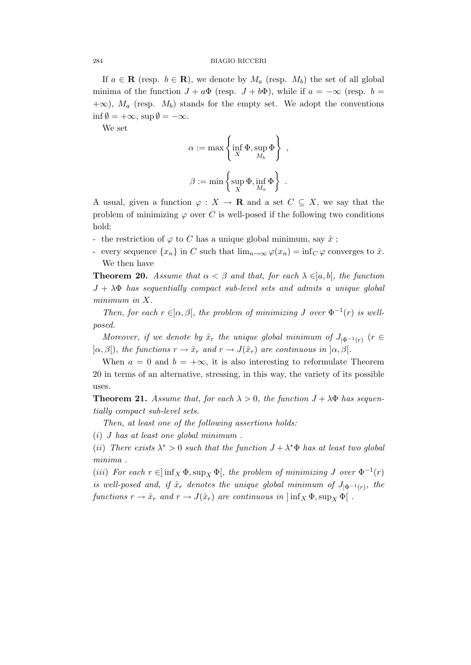If  $a \in \mathbf{R}$  (resp.  $b \in \mathbf{R}$ ), we denote by  $M_a$  (resp.  $M_b$ ) the set of all global minima of the function  $J + a\Phi$  (resp.  $J + b\Phi$ ), while if  $a = -\infty$  (resp.  $b =$  $+\infty$ ),  $M_a$  (resp.  $M_b$ ) stands for the empty set. We adopt the conventions  $\inf \emptyset = +\infty$ ,  $\sup \emptyset = -\infty$ .

We set

$$
\alpha := \max \left\{ \inf_{X} \Phi, \sup_{M_b} \Phi \right\},\
$$

$$
\beta := \min \left\{ \sup_{X} \Phi, \inf_{M_a} \Phi \right\}.
$$

A usual, given a function  $\varphi : X \to \mathbf{R}$  and a set  $C \subseteq X$ , we say that the problem of minimizing  $\varphi$  over C is well-posed if the following two conditions hold:

- the restriction of  $\varphi$  to C has a unique global minimum, say  $\hat{x}$ ;
- every sequence  $\{x_n\}$  in C such that  $\lim_{n\to\infty} \varphi(x_n) = \inf_C \varphi$  converges to  $\hat{x}$ . We then have

**Theorem 20.** Assume that  $\alpha < \beta$  and that, for each  $\lambda \in ]a, b[$ , the function  $J + \lambda \Phi$  has sequentially compact sub-level sets and admits a unique global minimum in X.

Then, for each  $r \in ]\alpha, \beta[$ , the problem of minimizing J over  $\Phi^{-1}(r)$  is wellposed.

Moreover, if we denote by  $\hat{x}_r$  the unique global minimum of  $J_{|\Phi^{-1}(r)}$  ( $r \in$  $|\alpha, \beta|$ , the functions  $r \to \hat{x}_r$  and  $r \to J(\hat{x}_r)$  are continuous in  $|\alpha, \beta|$ .

When  $a = 0$  and  $b = +\infty$ , it is also interesting to reformulate Theorem 20 in terms of an alternative, stressing, in this way, the variety of its possible uses.

**Theorem 21.** Assume that, for each  $\lambda > 0$ , the function  $J + \lambda \Phi$  has sequentially compact sub-level sets.

Then, at least one of the following assertions holds:

 $(i)$  J has at least one global minimum.

(ii) There exists  $\lambda^* > 0$  such that the function  $J + \lambda^* \Phi$  has at least two global minima .

(iii) For each  $r \in ]\inf_X \Phi, \sup_X \Phi[$ , the problem of minimizing J over  $\Phi^{-1}(r)$ is well-posed and, if  $\hat{x}_r$  denotes the unique global minimum of  $J_{|\Phi^{-1}(r)}$ , the functions  $r \to \hat{x}_r$  and  $r \to J(\hat{x}_r)$  are continuous in  $\left| \inf_X \Phi, \sup_X \Phi \right|$ .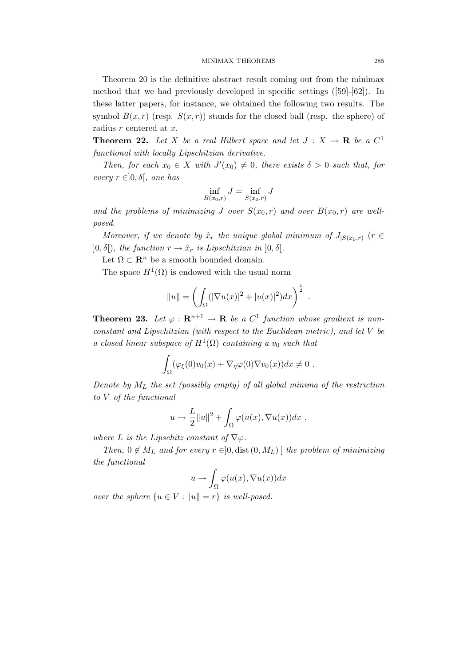Theorem 20 is the definitive abstract result coming out from the minimax method that we had previously developed in specific settings ([59]-[62]). In these latter papers, for instance, we obtained the following two results. The symbol  $B(x, r)$  (resp.  $S(x, r)$ ) stands for the closed ball (resp. the sphere) of radius r centered at x.

**Theorem 22.** Let X be a real Hilbert space and let  $J: X \to \mathbf{R}$  be a  $C^1$ functional with locally Lipschitzian derivative.

Then, for each  $x_0 \in X$  with  $J'(x_0) \neq 0$ , there exists  $\delta > 0$  such that, for every  $r \in ]0, \delta[$ , one has

$$
\inf_{B(x_0,r)} J = \inf_{S(x_0,r)} J
$$

and the problems of minimizing J over  $S(x_0, r)$  and over  $B(x_0, r)$  are wellposed.

Moreover, if we denote by  $\hat{x}_r$  the unique global minimum of  $J_{|S(x_0,r)}$  ( $r \in$  $]0,\delta[$ ), the function  $r \to \hat{x}_r$  is Lipschitzian in  $]0,\delta[$ .

Let  $\Omega \subset \mathbb{R}^n$  be a smooth bounded domain.

The space  $H^1(\Omega)$  is endowed with the usual norm

$$
||u|| = \left(\int_{\Omega} (|\nabla u(x)|^2 + |u(x)|^2) dx\right)^{\frac{1}{2}}.
$$

**Theorem 23.** Let  $\varphi : \mathbf{R}^{n+1} \to \mathbf{R}$  be a  $C^1$  function whose gradient is nonconstant and Lipschitzian (with respect to the Euclidean metric), and let V be a closed linear subspace of  $H^1(\Omega)$  containing a  $v_0$  such that

$$
\int_{\Omega} (\varphi_{\xi}(0)v_0(x) + \nabla_{\eta}\varphi(0)\nabla v_0(x))dx \neq 0.
$$

Denote by  $M_L$  the set (possibly empty) of all global minima of the restriction to V of the functional

$$
u \to \frac{L}{2} ||u||^2 + \int_{\Omega} \varphi(u(x), \nabla u(x)) dx ,
$$

where L is the Lipschitz constant of  $\nabla\varphi$ .

Then,  $0 \notin M_L$  and for every  $r \in ]0, \text{dist}(0, M_L)]$  the problem of minimizing the functional

$$
u \to \int_{\Omega} \varphi(u(x), \nabla u(x)) dx
$$

over the sphere  $\{u \in V : ||u|| = r\}$  is well-posed.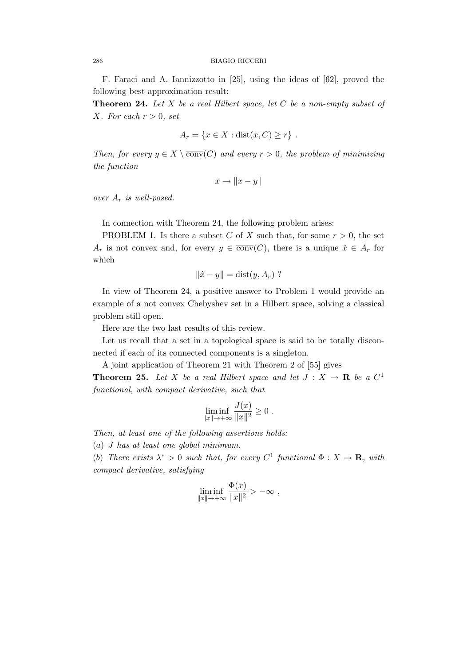F. Faraci and A. Iannizzotto in [25], using the ideas of [62], proved the following best approximation result:

**Theorem 24.** Let X be a real Hilbert space, let C be a non-empty subset of X. For each  $r > 0$ , set

$$
A_r = \{x \in X : dist(x, C) \ge r\} .
$$

Then, for every  $y \in X \setminus \overline{conv}(C)$  and every  $r > 0$ , the problem of minimizing the function

$$
x \to \|x - y\|
$$

over  $A_r$  is well-posed.

In connection with Theorem 24, the following problem arises:

PROBLEM 1. Is there a subset C of X such that, for some  $r > 0$ , the set  $A_r$  is not convex and, for every  $y \in \overline{conv}(C)$ , there is a unique  $\hat{x} \in A_r$  for which

$$
\|\hat{x} - y\| = \text{dist}(y, A_r)
$$
?

In view of Theorem 24, a positive answer to Problem 1 would provide an example of a not convex Chebyshev set in a Hilbert space, solving a classical problem still open.

Here are the two last results of this review.

Let us recall that a set in a topological space is said to be totally disconnected if each of its connected components is a singleton.

A joint application of Theorem 21 with Theorem 2 of [55] gives

**Theorem 25.** Let X be a real Hilbert space and let  $J: X \to \mathbf{R}$  be a  $C^1$ functional, with compact derivative, such that

$$
\liminf_{\|x\|\to+\infty}\frac{J(x)}{\|x\|^2}\geq 0.
$$

Then, at least one of the following assertions holds:

(a) J has at least one global minimum.

(b) There exists  $\lambda^* > 0$  such that, for every  $C^1$  functional  $\Phi : X \to \mathbf{R}$ , with compact derivative, satisfying

$$
\liminf_{\|x\|\to+\infty}\frac{\Phi(x)}{\|x\|^2} > -\infty ,
$$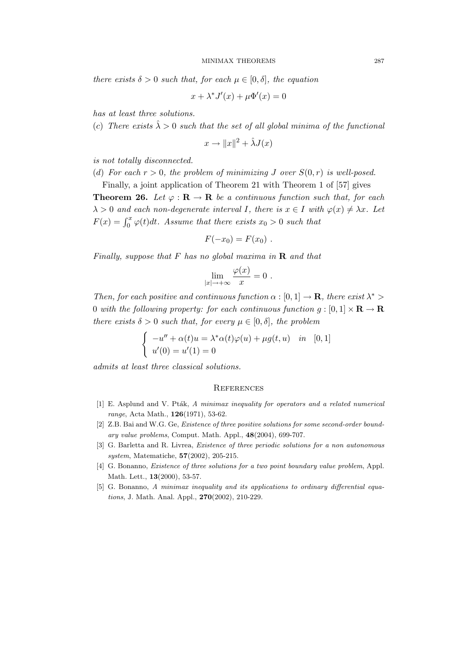there exists  $\delta > 0$  such that, for each  $\mu \in [0, \delta]$ , the equation

 $x + \lambda^* J'(x) + \mu \Phi'(x) = 0$ 

has at least three solutions.

(c) There exists  $\hat{\lambda} > 0$  such that the set of all global minima of the functional

$$
x \to ||x||^2 + \hat{\lambda}J(x)
$$

is not totally disconnected.

(d) For each 
$$
r > 0
$$
, the problem of minimizing J over  $S(0,r)$  is well-posed.

Finally, a joint application of Theorem 21 with Theorem 1 of [57] gives **Theorem 26.** Let  $\varphi : \mathbf{R} \to \mathbf{R}$  be a continuous function such that, for each  $\lambda > 0$  and each non-degenerate interval I, there is  $x \in I$  with  $\varphi(x) \neq \lambda x$ . Let  $F(x) = \int_0^x \varphi(t)dt$ . Assume that there exists  $x_0 > 0$  such that

$$
F(-x_0)=F(x_0).
$$

Finally, suppose that F has no global maxima in  $\bf{R}$  and that

$$
\lim_{|x|\to+\infty}\frac{\varphi(x)}{x}=0.
$$

Then, for each positive and continuous function  $\alpha : [0,1] \to \mathbf{R}$ , there exist  $\lambda^*$ 0 with the following property: for each continuous function  $g:[0,1]\times \mathbf{R}\to \mathbf{R}$ there exists  $\delta > 0$  such that, for every  $\mu \in [0, \delta]$ , the problem

$$
\begin{cases}\n-u'' + \alpha(t)u = \lambda^* \alpha(t)\varphi(u) + \mu g(t, u) & \text{in} \quad [0, 1] \\
u'(0) = u'(1) = 0\n\end{cases}
$$

admits at least three classical solutions.

# **REFERENCES**

- $[1]$  E. Asplund and V. Pták, A minimax inequality for operators and a related numerical range, Acta Math., 126(1971), 53-62.
- [2] Z.B. Bai and W.G. Ge, Existence of three positive solutions for some second-order boundary value problems, Comput. Math. Appl., 48(2004), 699-707.
- [3] G. Barletta and R. Livrea, *Existence of three periodic solutions for a non autonomous* system, Matematiche, 57(2002), 205-215.
- [4] G. Bonanno, Existence of three solutions for a two point boundary value problem, Appl. Math. Lett., 13(2000), 53-57.
- [5] G. Bonanno, A minimax inequality and its applications to ordinary differential equations, J. Math. Anal. Appl., 270(2002), 210-229.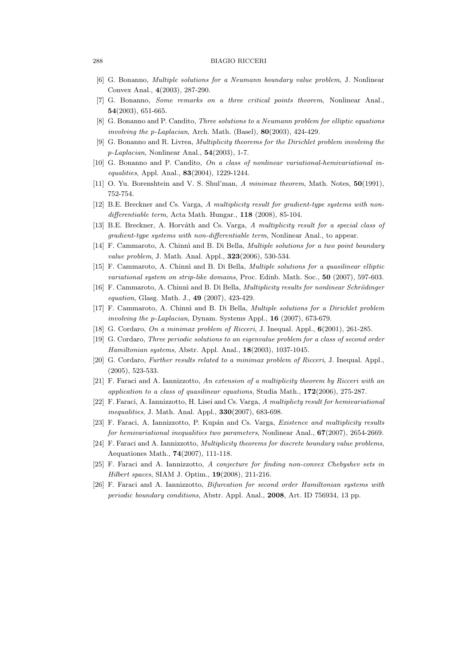- [6] G. Bonanno, Multiple solutions for a Neumann boundary value problem, J. Nonlinear Convex Anal., 4(2003), 287-290.
- [7] G. Bonanno, Some remarks on a three critical points theorem, Nonlinear Anal., 54(2003), 651-665.
- [8] G. Bonanno and P. Candito, Three solutions to a Neumann problem for elliptic equations involving the p-Laplacian, Arch. Math. (Basel),  $80(2003)$ ,  $424-429$ .
- [9] G. Bonanno and R. Livrea, Multiplicity theorems for the Dirichlet problem involving the p-Laplacian, Nonlinear Anal., 54(2003), 1-7.
- [10] G. Bonanno and P. Candito, On a class of nonlinear variational-hemivariational inequalities, Appl. Anal., 83(2004), 1229-1244.
- [11] O. Yu. Borenshtein and V. S. Shul'man, A minimax theorem, Math. Notes, 50(1991), 752-754.
- [12] B.E. Breckner and Cs. Varga, A multiplicity result for gradient-type systems with nondifferentiable term, Acta Math. Hungar., 118 (2008), 85-104.
- [13] B.E. Breckner, A. Horváth and Cs. Varga, A multiplicity result for a special class of gradient-type systems with non-differentiable term, Nonlinear Anal., to appear.
- [14] F. Cammaroto, A. Chinnì and B. Di Bella, *Multiple solutions for a two point boundary* value problem, J. Math. Anal. Appl., **323**(2006), 530-534.
- [15] F. Cammaroto, A. Chinnì and B. Di Bella, *Multiple solutions for a quasilinear elliptic* variational system on strip-like domains, Proc. Edinb. Math. Soc., 50 (2007), 597-603.
- [16] F. Cammaroto, A. Chinnì and B. Di Bella, *Multiplicity results for nonlinear Schrödinger* equation, Glasg. Math. J., 49 (2007), 423-429.
- [17] F. Cammaroto, A. Chinnì and B. Di Bella, *Multiple solutions for a Dirichlet problem* involving the p-Laplacian, Dynam. Systems Appl., 16 (2007), 673-679.
- [18] G. Cordaro, On a minimax problem of Ricceri, J. Inequal. Appl., 6(2001), 261-285.
- [19] G. Cordaro, Three periodic solutions to an eigenvalue problem for a class of second order Hamiltonian systems, Abstr. Appl. Anal., 18(2003), 1037-1045.
- [20] G. Cordaro, Further results related to a minimax problem of Ricceri, J. Inequal. Appl., (2005), 523-533.
- [21] F. Faraci and A. Iannizzotto, An extension of a multiplicity theorem by Ricceri with an application to a class of quasilinear equations, Studia Math.,  $172(2006)$ , 275-287.
- [22] F. Faraci, A. Iannizzotto, H. Lisei and Cs. Varga, A multiplicty result for hemivariational inequalities, J. Math. Anal. Appl., **330**(2007), 683-698.
- [23] F. Faraci, A. Iannizzotto, P. Kupán and Cs. Varga, *Existence and multiplicity results* for hemivariational inequalities two parameters, Nonlinear Anal.,  $67(2007)$ , 2654-2669.
- [24] F. Faraci and A. Iannizzotto, Multiplicity theorems for discrete boundary value problems, Aequationes Math., 74(2007), 111-118.
- [25] F. Faraci and A. Iannizzotto, A conjecture for finding non-convex Chebyshev sets in Hilbert spaces, SIAM J. Optim., 19(2008), 211-216.
- [26] F. Faraci and A. Iannizzotto, Bifurcation for second order Hamiltonian systems with periodic boundary conditions, Abstr. Appl. Anal., 2008, Art. ID 756934, 13 pp.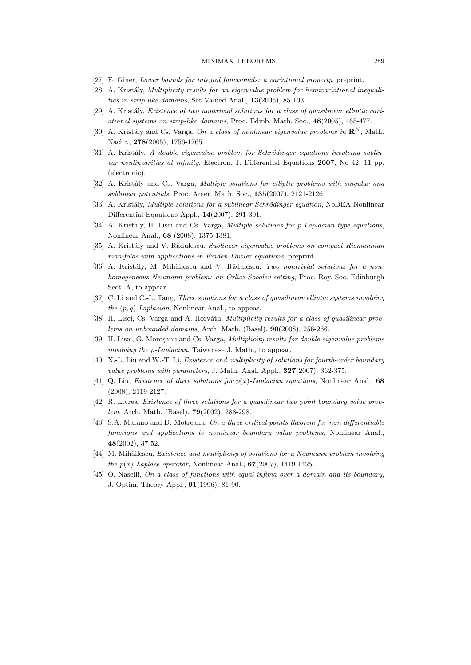# MINIMAX THEOREMS 289

- [27] E. Giner, Lower bounds for integral functionals: a variational property, preprint.
- [28] A. Kristály, Multiplicity results for an eigenvalue problem for hemivariational inequalities in strip-like domains, Set-Valued Anal., 13(2005), 85-103.
- $[29]$  A. Kristály, Existence of two nontrivial solutions for a class of quasilinear elliptic variational systems on strip-like domains, Proc. Edinb. Math. Soc., 48(2005), 465-477.
- [30] A. Kristály and Cs. Varga, On a class of nonlinear eigenvalue problems in  $\mathbb{R}^N$ , Math. Nachr., 278(2005), 1756-1765.
- $[31]$  A. Kristály, A double eigenvalue problem for Schrödinger equations involving sublinear nonlinearities at infinity, Electron. J. Differential Equations 2007, No 42, 11 pp. (electronic).
- [32] A. Kristály and Cs. Varga, *Multiple solutions for elliptic problems with singular and* sublinear potentials, Proc. Amer. Math. Soc., 135(2007), 2121-2126.
- [33] A. Kristály, *Multiple solutions for a sublinear Schrödinger equation*, NoDEA Nonlinear Differential Equations Appl., 14(2007), 291-301.
- [34] A. Kristály, H. Lisei and Cs. Varga, *Multiple solutions for p-Laplacian type equations*, Nonlinear Anal., 68 (2008), 1375-1381.
- [35] A. Kristály and V. Rădulescu, Sublinear eigenvalue problems on compact Riemannian manifolds with applications in Emden-Fowler equations, preprint.
- [36] A. Kristály, M. Mihăilescu and V. Rădulescu, Two nontrivial solutions for a nonhomogeneous Neumann problem: an Orlicz-Sobolev setting, Proc. Roy. Soc. Edinburgh Sect. A, to appear.
- [37] C. Li and C.-L. Tang, Three solutions for a class of quasilinear elliptic systems involving the  $(p, q)$ -Laplacian, Nonlinear Anal., to appear.
- [38] H. Lisei, Cs. Varga and A. Horváth, *Multiplicity results for a class of quasilinear prob*lems on unbounded domains, Arch. Math. (Basel), 90(2008), 256-266.
- [39] H. Lisei, G. Moroşanu and Cs. Varga, *Multiplicity results for double eigenvalue problems* involving the p-Laplacian, Taiwanese J. Math., to appear.
- [40] X.-L. Liu and W.-T. Li, *Existence and multiplicity of solutions for fourth-order boundary* value problems with parameters, J. Math. Anal. Appl.,  $327(2007)$ , 362-375.
- [41] Q. Liu, *Existence of three solutions for*  $p(x)$ -*Laplacian equations*, Nonlinear Anal., 68 (2008), 2119-2127.
- [42] R. Livrea, Existence of three solutions for a quasilinear two point boundary value problem, Arch. Math. (Basel), 79(2002), 288-298.
- [43] S.A. Marano and D. Motreanu, On a three critical points theorem for non-differentiable functions and applications to nonlinear boundary value problems, Nonlinear Anal., 48(2002), 37-52.
- [44] M. Mihăilescu, Existence and multiplicity of solutions for a Neumann problem involving the  $p(x)$ -Laplace operator, Nonlinear Anal.,  $67(2007)$ , 1419-1425.
- [45] O. Naselli, On a class of functions with equal infima over a domain and its boundary, J. Optim. Theory Appl., 91(1996), 81-90.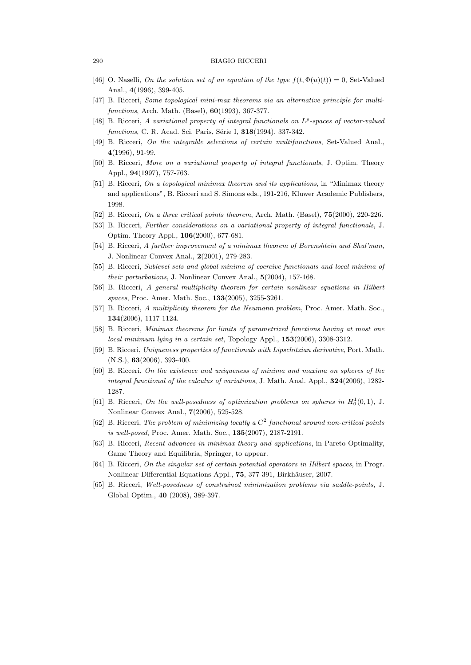- [46] O. Naselli, On the solution set of an equation of the type  $f(t, \Phi(u)(t)) = 0$ , Set-Valued Anal., 4(1996), 399-405.
- [47] B. Ricceri, Some topological mini-max theorems via an alternative principle for multifunctions, Arch. Math. (Basel), 60(1993), 367-377.
- [48] B. Ricceri, A variational property of integral functionals on  $L^p$ -spaces of vector-valued functions, C. R. Acad. Sci. Paris, Série I, 318(1994), 337-342.
- [49] B. Ricceri, On the integrable selections of certain multifunctions, Set-Valued Anal., 4(1996), 91-99.
- [50] B. Ricceri, More on a variational property of integral functionals, J. Optim. Theory Appl., 94(1997), 757-763.
- [51] B. Ricceri, On a topological minimax theorem and its applications, in "Minimax theory and applications", B. Ricceri and S. Simons eds., 191-216, Kluwer Academic Publishers, 1998.
- [52] B. Ricceri, On a three critical points theorem, Arch. Math. (Basel), **75**(2000), 220-226.
- [53] B. Ricceri, Further considerations on a variational property of integral functionals, J. Optim. Theory Appl., 106(2000), 677-681.
- [54] B. Ricceri, A further improvement of a minimax theorem of Borenshtein and Shul'man, J. Nonlinear Convex Anal., 2(2001), 279-283.
- [55] B. Ricceri, Sublevel sets and global minima of coercive functionals and local minima of their perturbations, J. Nonlinear Convex Anal., 5(2004), 157-168.
- [56] B. Ricceri, A general multiplicity theorem for certain nonlinear equations in Hilbert spaces, Proc. Amer. Math. Soc., **133**(2005), 3255-3261.
- [57] B. Ricceri, A multiplicity theorem for the Neumann problem, Proc. Amer. Math. Soc., 134(2006), 1117-1124.
- [58] B. Ricceri, Minimax theorems for limits of parametrized functions having at most one local minimum lying in a certain set, Topology Appl., 153(2006), 3308-3312.
- [59] B. Ricceri, Uniqueness properties of functionals with Lipschitzian derivative, Port. Math. (N.S.), 63(2006), 393-400.
- [60] B. Ricceri, On the existence and uniqueness of minima and maxima on spheres of the integral functional of the calculus of variations, J. Math. Anal. Appl.,  $324(2006)$ , 1282-1287.
- [61] B. Ricceri, On the well-posedness of optimization problems on spheres in  $H_0^1(0,1)$ , J. Nonlinear Convex Anal., 7(2006), 525-528.
- [62] B. Ricceri, The problem of minimizing locally a  $C<sup>2</sup>$  functional around non-critical points is well-posed, Proc. Amer. Math. Soc., 135(2007), 2187-2191.
- [63] B. Ricceri, Recent advances in minimax theory and applications, in Pareto Optimality, Game Theory and Equilibria, Springer, to appear.
- [64] B. Ricceri, On the singular set of certain potential operators in Hilbert spaces, in Progr. Nonlinear Differential Equations Appl., 75, 377-391, Birkhäuser, 2007.
- [65] B. Ricceri, Well-posedness of constrained minimization problems via saddle-points, J. Global Optim., 40 (2008), 389-397.